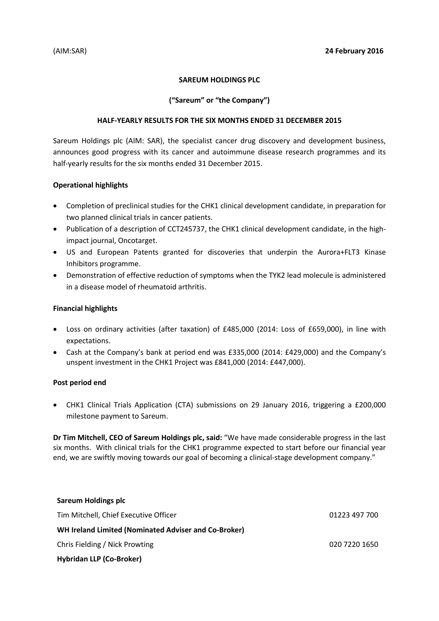# **SAREUM HOLDINGS PLC**

# **("Sareum" or "the Company")**

#### **HALF-YEARLY RESULTS FOR THE SIX MONTHS ENDED 31 DECEMBER 2015**

Sareum Holdings plc (AIM: SAR), the specialist cancer drug discovery and development business, announces good progress with its cancer and autoimmune disease research programmes and its half-yearly results for the six months ended 31 December 2015.

# **Operational highlights**

- Completion of preclinical studies for the CHK1 clinical development candidate, in preparation for two planned clinical trials in cancer patients.
- Publication of a description of CCT245737, the CHK1 clinical development candidate, in the highimpact journal, Oncotarget.
- US and European Patents granted for discoveries that underpin the Aurora+FLT3 Kinase Inhibitors programme.
- Demonstration of effective reduction of symptoms when the TYK2 lead molecule is administered in a disease model of rheumatoid arthritis.

## **Financial highlights**

- Loss on ordinary activities (after taxation) of £485,000 (2014: Loss of £659,000), in line with expectations.
- Cash at the Company's bank at period end was £335,000 (2014: £429,000) and the Company's unspent investment in the CHK1 Project was £841,000 (2014: £447,000).

#### **Post period end**

 CHK1 Clinical Trials Application (CTA) submissions on 29 January 2016, triggering a £200,000 milestone payment to Sareum.

**Dr Tim Mitchell, CEO of Sareum Holdings plc, said:** "We have made considerable progress in the last six months. With clinical trials for the CHK1 programme expected to start before our financial year end, we are swiftly moving towards our goal of becoming a clinical-stage development company."

| Sareum Holdings plc                                         |               |
|-------------------------------------------------------------|---------------|
| Tim Mitchell, Chief Executive Officer                       | 01223 497 700 |
| <b>WH Ireland Limited (Nominated Adviser and Co-Broker)</b> |               |
| Chris Fielding / Nick Prowting                              | 020 7220 1650 |
| <b>Hybridan LLP (Co-Broker)</b>                             |               |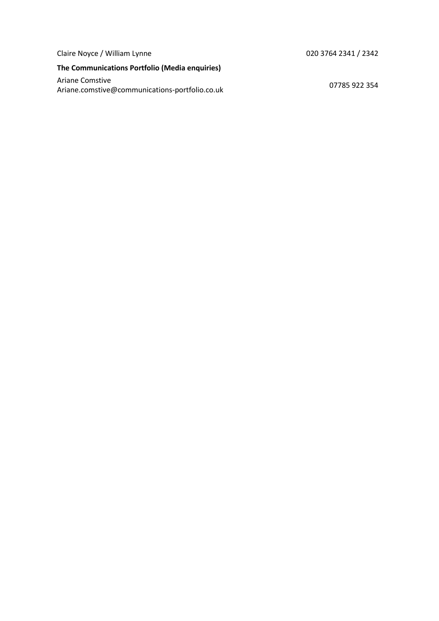Claire Noyce / William Lynne 020 3764 2341 / 2342

# **The Communications Portfolio (Media enquiries)**

Ariane Comstive Ariane Constive<br>Ariane.comstive@communications-portfolio.co.uk 07785 922 354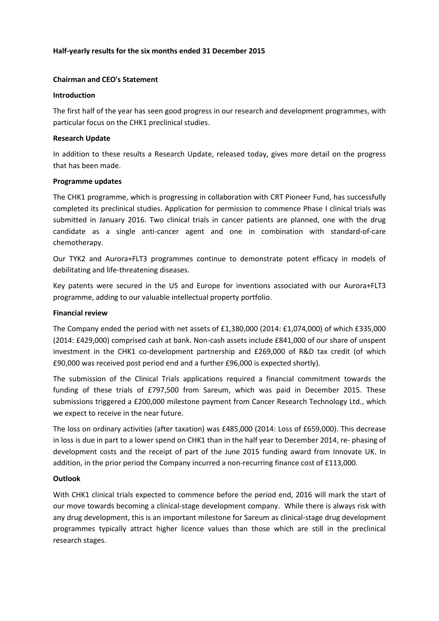## **Half-yearly results for the six months ended 31 December 2015**

#### **Chairman and CEO's Statement**

#### **Introduction**

The first half of the year has seen good progress in our research and development programmes, with particular focus on the CHK1 preclinical studies.

# **Research Update**

In addition to these results a Research Update, released today, gives more detail on the progress that has been made.

# **Programme updates**

The CHK1 programme, which is progressing in collaboration with CRT Pioneer Fund, has successfully completed its preclinical studies. Application for permission to commence Phase I clinical trials was submitted in January 2016. Two clinical trials in cancer patients are planned, one with the drug candidate as a single anti-cancer agent and one in combination with standard-of-care chemotherapy.

Our TYK2 and Aurora+FLT3 programmes continue to demonstrate potent efficacy in models of debilitating and life-threatening diseases.

Key patents were secured in the US and Europe for inventions associated with our Aurora+FLT3 programme, adding to our valuable intellectual property portfolio.

## **Financial review**

The Company ended the period with net assets of £1,380,000 (2014: £1,074,000) of which £335,000 (2014: £429,000) comprised cash at bank. Non-cash assets include £841,000 of our share of unspent investment in the CHK1 co-development partnership and £269,000 of R&D tax credit (of which £90,000 was received post period end and a further £96,000 is expected shortly).

The submission of the Clinical Trials applications required a financial commitment towards the funding of these trials of £797,500 from Sareum, which was paid in December 2015. These submissions triggered a £200,000 milestone payment from Cancer Research Technology Ltd., which we expect to receive in the near future.

The loss on ordinary activities (after taxation) was £485,000 (2014: Loss of £659,000). This decrease in loss is due in part to a lower spend on CHK1 than in the half year to December 2014, re- phasing of development costs and the receipt of part of the June 2015 funding award from Innovate UK. In addition, in the prior period the Company incurred a non-recurring finance cost of £113,000.

#### **Outlook**

With CHK1 clinical trials expected to commence before the period end, 2016 will mark the start of our move towards becoming a clinical-stage development company. While there is always risk with any drug development, this is an important milestone for Sareum as clinical-stage drug development programmes typically attract higher licence values than those which are still in the preclinical research stages.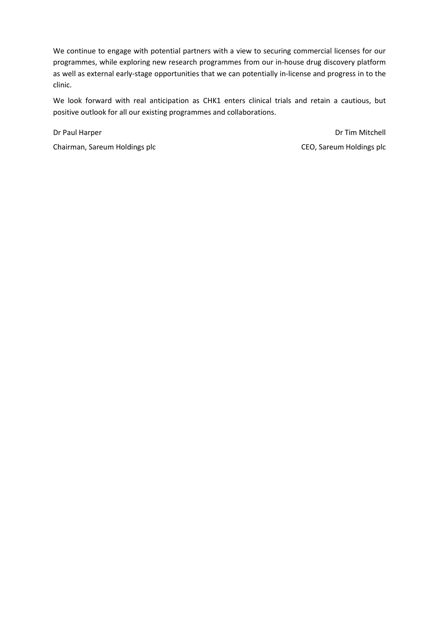We continue to engage with potential partners with a view to securing commercial licenses for our programmes, while exploring new research programmes from our in-house drug discovery platform as well as external early-stage opportunities that we can potentially in-license and progress in to the clinic.

We look forward with real anticipation as CHK1 enters clinical trials and retain a cautious, but positive outlook for all our existing programmes and collaborations.

Dr Paul Harper

Chairman, Sareum Holdings plc

Dr Tim Mitchell CEO, Sareum Holdings plc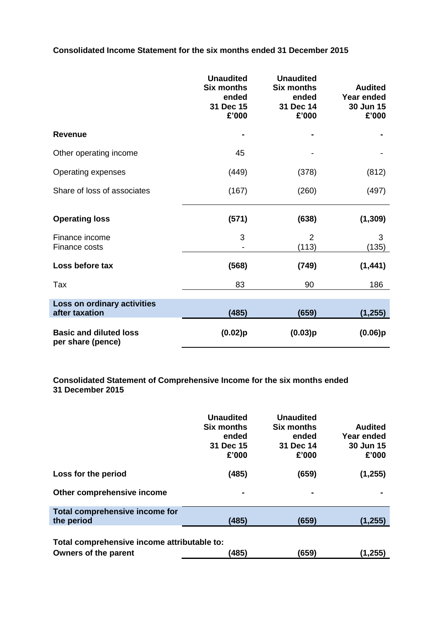**Consolidated Income Statement for the six months ended 31 December 2015**

|                                                    | <b>Unaudited</b><br><b>Six months</b><br>ended<br>31 Dec 15<br>£'000 | <b>Unaudited</b><br><b>Six months</b><br>ended<br>31 Dec 14<br>£'000 | <b>Audited</b><br><b>Year ended</b><br>30 Jun 15<br>£'000 |
|----------------------------------------------------|----------------------------------------------------------------------|----------------------------------------------------------------------|-----------------------------------------------------------|
| <b>Revenue</b>                                     |                                                                      |                                                                      |                                                           |
| Other operating income                             | 45                                                                   |                                                                      |                                                           |
| Operating expenses                                 | (449)                                                                | (378)                                                                | (812)                                                     |
| Share of loss of associates                        | (167)                                                                | (260)                                                                | (497)                                                     |
| <b>Operating loss</b>                              | (571)                                                                | (638)                                                                | (1, 309)                                                  |
| Finance income<br>Finance costs                    | 3                                                                    | 2<br>(113)                                                           | 3<br>(135)                                                |
| Loss before tax                                    | (568)                                                                | (749)                                                                | (1, 441)                                                  |
| Tax                                                | 83                                                                   | 90                                                                   | 186                                                       |
| Loss on ordinary activities<br>after taxation      | (485)                                                                | (659)                                                                | (1, 255)                                                  |
| <b>Basic and diluted loss</b><br>per share (pence) | (0.02)p                                                              | (0.03)p                                                              | (0.06)p                                                   |

# **Consolidated Statement of Comprehensive Income for the six months ended 31 December 2015**

|                                                                                                         | <b>Unaudited</b><br>Six months<br>ended<br>31 Dec 15<br>£'000 | <b>Unaudited</b><br>Six months<br>ended<br>31 Dec 14<br>£'000 | <b>Audited</b><br>Year ended<br>30 Jun 15<br>£'000 |  |  |
|---------------------------------------------------------------------------------------------------------|---------------------------------------------------------------|---------------------------------------------------------------|----------------------------------------------------|--|--|
| Loss for the period                                                                                     | (485)                                                         | (659)                                                         | (1,255)                                            |  |  |
| Other comprehensive income                                                                              | ٠                                                             |                                                               |                                                    |  |  |
| Total comprehensive income for                                                                          |                                                               |                                                               |                                                    |  |  |
| the period                                                                                              | (485)                                                         | (659)                                                         | (1,255)                                            |  |  |
| Total comprehensive income attributable to:<br>(485)<br>(659)<br><b>Owners of the parent</b><br>(1,255) |                                                               |                                                               |                                                    |  |  |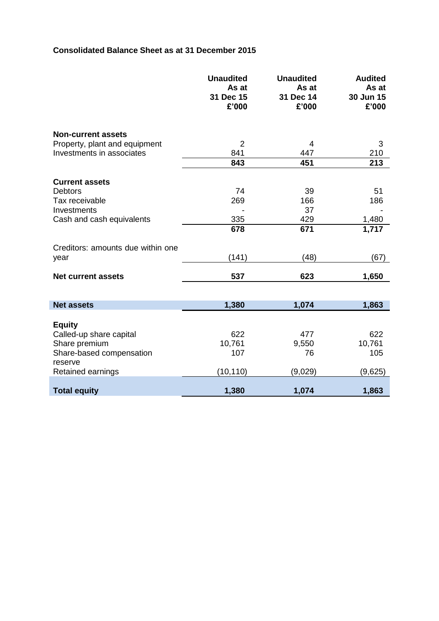# **Consolidated Balance Sheet as at 31 December 2015**

|                                   | <b>Unaudited</b><br>As at<br>31 Dec 15<br>£'000 | <b>Unaudited</b><br>As at<br>31 Dec 14<br>£'000 | <b>Audited</b><br>As at<br>30 Jun 15<br>£'000 |
|-----------------------------------|-------------------------------------------------|-------------------------------------------------|-----------------------------------------------|
| <b>Non-current assets</b>         |                                                 |                                                 |                                               |
| Property, plant and equipment     | $\overline{2}$                                  | 4                                               | 3                                             |
| Investments in associates         | 841                                             | 447                                             | 210                                           |
|                                   | 843                                             | 451                                             | 213                                           |
| <b>Current assets</b>             |                                                 |                                                 |                                               |
| <b>Debtors</b>                    | 74                                              | 39                                              | 51                                            |
| Tax receivable                    | 269                                             | 166                                             | 186                                           |
| Investments                       |                                                 | 37                                              |                                               |
| Cash and cash equivalents         | 335                                             | 429                                             | 1,480                                         |
|                                   | 678                                             | 671                                             | 1,717                                         |
|                                   |                                                 |                                                 |                                               |
| Creditors: amounts due within one |                                                 | (48)                                            |                                               |
| year                              | (141)                                           |                                                 | (67)                                          |
| <b>Net current assets</b>         | 537                                             | 623                                             | 1,650                                         |
|                                   |                                                 |                                                 |                                               |
| <b>Net assets</b>                 | 1,380                                           | 1,074                                           | 1,863                                         |
|                                   |                                                 |                                                 |                                               |
| <b>Equity</b>                     |                                                 |                                                 |                                               |
| Called-up share capital           | 622                                             | 477                                             | 622                                           |
| Share premium                     | 10,761                                          | 9,550                                           | 10,761                                        |
| Share-based compensation          | 107                                             | 76                                              | 105                                           |
| reserve<br>Retained earnings      | (10, 110)                                       | (9,029)                                         | (9,625)                                       |
| <b>Total equity</b>               | 1,380                                           | 1,074                                           | 1,863                                         |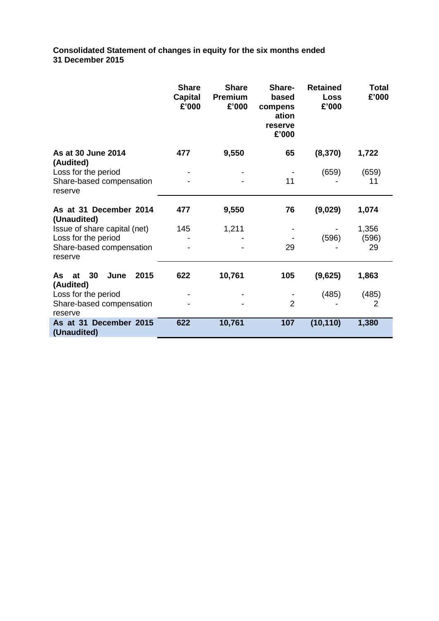**Consolidated Statement of changes in equity for the six months ended 31 December 2015**

|                                                                         | <b>Share</b><br><b>Capital</b><br>£'000 | <b>Share</b><br><b>Premium</b><br>£'000 | Share-<br>based<br>compens<br>ation<br>reserve<br>£'000 | <b>Retained</b><br><b>Loss</b><br>£'000 | Total<br>£'000 |
|-------------------------------------------------------------------------|-----------------------------------------|-----------------------------------------|---------------------------------------------------------|-----------------------------------------|----------------|
| As at 30 June 2014                                                      | 477                                     | 9,550                                   | 65                                                      | (8, 370)                                | 1,722          |
| (Audited)<br>Loss for the period<br>Share-based compensation<br>reserve |                                         |                                         | 11                                                      | (659)                                   | (659)<br>11    |
| As at 31 December 2014<br>(Unaudited)                                   | 477                                     | 9,550                                   | 76                                                      | (9,029)                                 | 1,074          |
| Issue of share capital (net)                                            | 145                                     | 1,211                                   |                                                         |                                         | 1,356          |
| Loss for the period                                                     |                                         |                                         |                                                         | (596)                                   | (596)          |
| Share-based compensation<br>reserve                                     |                                         |                                         | 29                                                      |                                         | 29             |
| 30<br>2015<br>As<br>June<br>at<br>(Audited)                             | 622                                     | 10,761                                  | 105                                                     | (9,625)                                 | 1,863          |
| Loss for the period<br>Share-based compensation<br>reserve              |                                         |                                         | $\overline{2}$                                          | (485)                                   | (485)<br>2     |
| As at 31 December 2015<br>(Unaudited)                                   | 622                                     | 10,761                                  | 107                                                     | (10, 110)                               | 1,380          |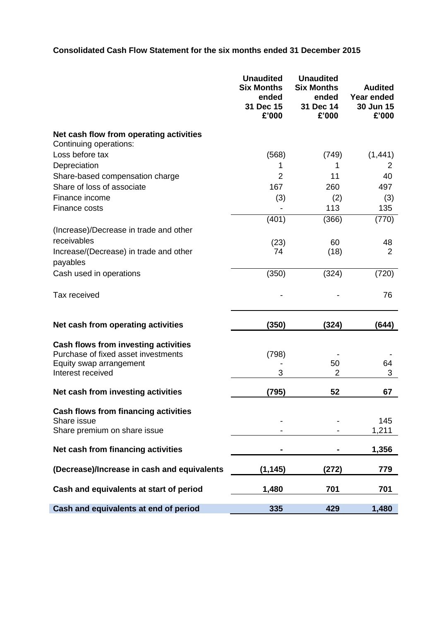# **Consolidated Cash Flow Statement for the six months ended 31 December 2015**

| <b>Unaudited</b><br><b>Six Months</b><br>ended<br>31 Dec 15<br>£'000 | <b>Unaudited</b><br><b>Six Months</b><br>ended<br>31 Dec 14<br>£'000 | <b>Audited</b><br>Year ended<br>30 Jun 15<br>£'000 |
|----------------------------------------------------------------------|----------------------------------------------------------------------|----------------------------------------------------|
|                                                                      |                                                                      |                                                    |
| (568)                                                                | (749)                                                                | (1,441)                                            |
|                                                                      | 1                                                                    | 2                                                  |
| 2                                                                    | 11                                                                   | 40                                                 |
| 167                                                                  | 260                                                                  | 497                                                |
|                                                                      |                                                                      | (3)                                                |
|                                                                      | 113                                                                  | 135                                                |
|                                                                      |                                                                      | (770)                                              |
|                                                                      |                                                                      |                                                    |
|                                                                      |                                                                      | 48                                                 |
| 74                                                                   |                                                                      | 2                                                  |
|                                                                      |                                                                      |                                                    |
| (350)                                                                | (324)                                                                | (720)                                              |
|                                                                      |                                                                      | 76                                                 |
| (350)                                                                | (324)                                                                | (644)                                              |
|                                                                      |                                                                      |                                                    |
|                                                                      |                                                                      |                                                    |
|                                                                      |                                                                      | 64                                                 |
| 3                                                                    | 2                                                                    | 3                                                  |
| (795)                                                                | 52                                                                   | 67                                                 |
|                                                                      |                                                                      |                                                    |
|                                                                      |                                                                      | 145                                                |
|                                                                      |                                                                      | 1,211                                              |
|                                                                      |                                                                      | 1,356                                              |
| (1, 145)                                                             | (272)                                                                | 779                                                |
| 1,480                                                                | 701                                                                  | 701                                                |
|                                                                      |                                                                      | 1,480                                              |
|                                                                      | (3)<br>(401)<br>(23)<br>(798)<br>335                                 | (2)<br>(366)<br>60<br>(18)<br>50<br>429            |